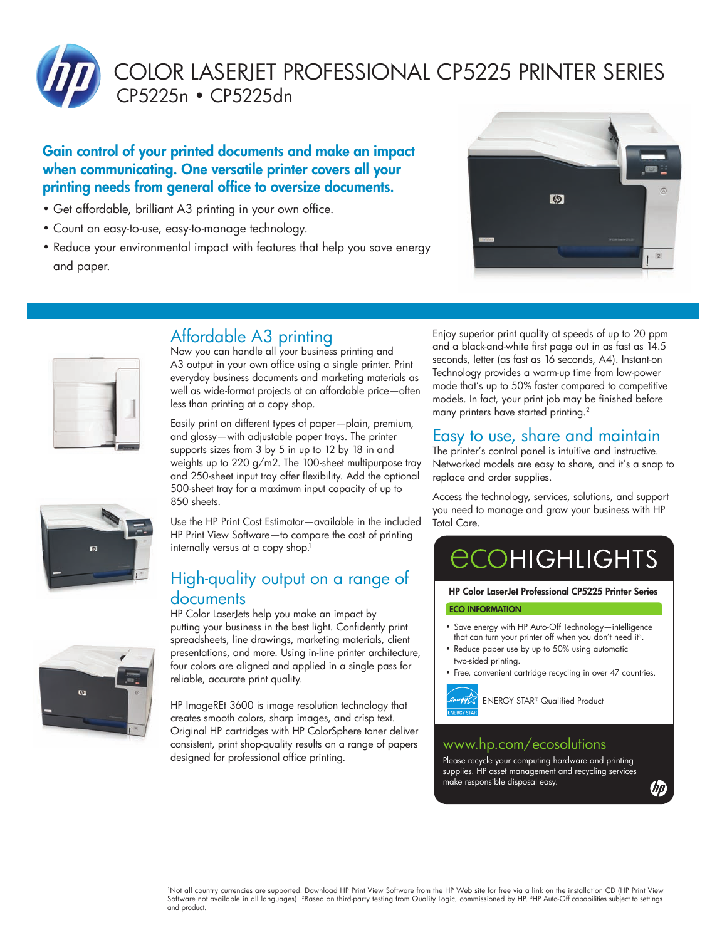

COLOR LASERJET PROFESSIONAL CP5225 PRINTER SERIES CP5225n • CP5225dn

### Gain control of your printed documents and make an impact when communicating. One versatile printer covers all your printing needs from general office to oversize documents.

- Get affordable, brilliant A3 printing in your own office.
- Count on easy-to-use, easy-to-manage technology.
- Reduce your environmental impact with features that help you save energy and paper.





## Affordable A3 printing

Now you can handle all your business printing and A3 output in your own office using a single printer. Print everyday business documents and marketing materials as well as wide-format projects at an affordable price—often less than printing at a copy shop.

Easily print on different types of paper—plain, premium, and glossy—with adjustable paper trays. The printer supports sizes from 3 by 5 in up to 12 by 18 in and weights up to 220 g/m2. The 100-sheet multipurpose tray and 250-sheet input tray offer flexibility. Add the optional 500-sheet tray for a maximum input capacity of up to 850 sheets.

Use the HP Print Cost Estimator—available in the included HP Print View Software—to compare the cost of printing internally versus at a copy shop.<sup>1</sup>

## High-quality output on a range of documents

HP Color LaserJets help you make an impact by putting your business in the best light. Confidently print spreadsheets, line drawings, marketing materials, client presentations, and more. Using in-line printer architecture, four colors are aligned and applied in a single pass for reliable, accurate print quality.

HP ImageREt 3600 is image resolution technology that creates smooth colors, sharp images, and crisp text. Original HP cartridges with HP ColorSphere toner deliver consistent, print shop-quality results on a range of papers designed for professional office printing.

Enjoy superior print quality at speeds of up to 20 ppm and a black-and-white first page out in as fast as 14.5 seconds, letter (as fast as 16 seconds, A4). Instant-on Technology provides a warm-up time from low-power mode that's up to 50% faster compared to competitive models. In fact, your print job may be finished before many printers have started printing.<sup>2</sup>

## Easy to use, share and maintain

The printer's control panel is intuitive and instructive. Networked models are easy to share, and it's a snap to replace and order supplies.

Access the technology, services, solutions, and support you need to manage and grow your business with HP Total Care.

# **ECOHIGHLIGHTS**

HP Color LaserJet Professional CP5225 Printer Series ECO INFORMATION

- Save energy with HP Auto-Off Technology—intelligence that can turn your printer off when you don't need it<sup>3</sup>.
- Reduce paper use by up to 50% using automatic two-sided printing.
- Free, convenient cartridge recycling in over 47 countries.



ENERGY STAR® Qualified Product

## www.hp.com/ecosolutions

Please recycle your computing hardware and printing supplies. HP asset management and recycling services make responsible disposal easy.

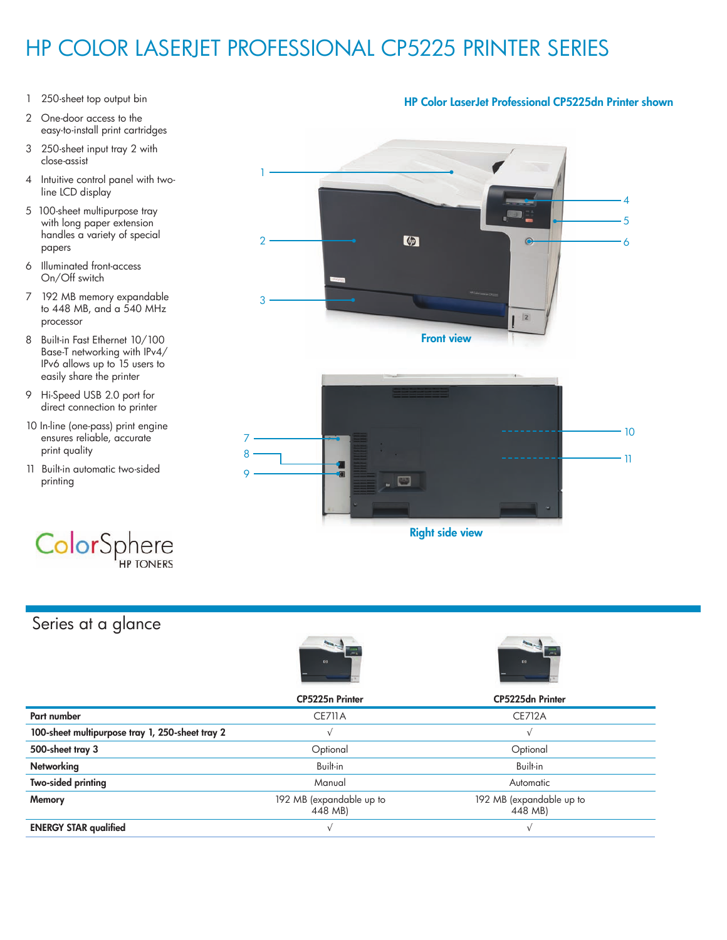## HP COLOR LASERJET PROFESSIONAL CP5225 PRINTER SERIES

- 1 250-sheet top output bin
- 2 One-door access to the easy-to-install print cartridges
- 3 250-sheet input tray 2 with close-assist
- 4 Intuitive control panel with two line LCD display
- 5 100-sheet multipurpose tray with long paper extension handles a variety of special papers
- 6 Illuminated front-access On/Off switch
- 7 192 MB memory expandable to 448 MB, and a 540 MHz processor
- 8 Built-in Fast Ethernet 10/100 Base-T networking with IPv4/ IPv6 allows up to 15 users to easily share the printer
- 9 Hi-Speed USB 2.0 port for direct connection to printer
- 10 In-line (one-pass) print engine ensures reliable, accurate print quality
- 11 Built-in automatic two-sided printing



## Series at a glance





|                                                 | <b>CP5225n Printer</b>              | CP5225dn Printer                    |  |
|-------------------------------------------------|-------------------------------------|-------------------------------------|--|
| Part number                                     | <b>CE711A</b>                       | <b>CE712A</b>                       |  |
| 100-sheet multipurpose tray 1, 250-sheet tray 2 |                                     |                                     |  |
| 500-sheet tray 3                                | Optional                            | Optional                            |  |
| <b>Networking</b>                               | Built-in                            | Built-in                            |  |
| <b>Two-sided printing</b>                       | Manual                              | Automatic                           |  |
| Memory                                          | 192 MB (expandable up to<br>448 MB) | 192 MB (expandable up to<br>448 MB) |  |
| <b>ENERGY STAR qualified</b>                    |                                     |                                     |  |

#### HP Color LaserJet Professional CP5225dn Printer shown

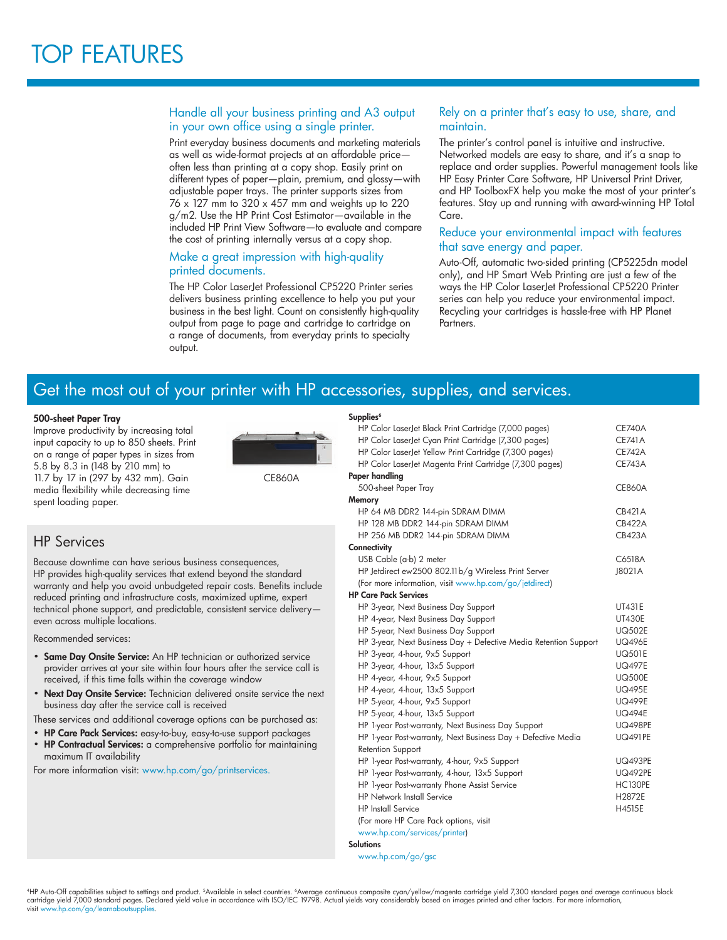#### Handle all your business printing and A3 output in your own office using a single printer.

Print everyday business documents and marketing materials as well as wide-format projects at an affordable price often less than printing at a copy shop. Easily print on different types of paper—plain, premium, and glossy—with adjustable paper trays. The printer supports sizes from 76 x 127 mm to 320 x 457 mm and weights up to 220 g/m2. Use the HP Print Cost Estimator—available in the included HP Print View Software—to evaluate and compare the cost of printing internally versus at a copy shop.

#### Make a great impression with high-quality printed documents.

The HP Color LaserJet Professional CP5220 Printer series delivers business printing excellence to help you put your business in the best light. Count on consistently high-quality output from page to page and cartridge to cartridge on a range of documents, from everyday prints to specialty output.

#### Rely on a printer that's easy to use, share, and maintain.

The printer's control panel is intuitive and instructive. Networked models are easy to share, and it's a snap to replace and order supplies. Powerful management tools like HP Easy Printer Care Software, HP Universal Print Driver, and HP ToolboxFX help you make the most of your printer's features. Stay up and running with award-winning HP Total Care.

#### Reduce your environmental impact with features that save energy and paper.

Auto-Off, automatic two-sided printing (CP5225dn model only), and HP Smart Web Printing are just a few of the ways the HP Color LaserJet Professional CP5220 Printer series can help you reduce your environmental impact. Recycling your cartridges is hassle-free with HP Planet Partners.

## Get the most out of your printer with HP accessories, supplies, and services.

#### 500-sheet Paper Tray

Improve productivity by increasing total input capacity to up to 850 sheets. Print on a range of paper types in sizes from 5.8 by 8.3 in (148 by 210 mm) to 11.7 by 17 in (297 by 432 mm). Gain media flexibility while decreasing time spent loading paper.



CE860A

### HP Services

Because downtime can have serious business consequences, HP provides high-quality services that extend beyond the standard warranty and help you avoid unbudgeted repair costs. Benefits include reduced printing and infrastructure costs, maximized uptime, expert technical phone support, and predictable, consistent service delivery even across multiple locations.

Recommended services:

- Same Day Onsite Service: An HP technician or authorized service provider arrives at your site within four hours after the service call is received, if this time falls within the coverage window
- Next Day Onsite Service: Technician delivered onsite service the next business day after the service call is received

These services and additional coverage options can be purchased as:

- HP Care Pack Services: easy-to-buy, easy-to-use support packages
- HP Contractual Services: a comprehensive portfolio for maintaining maximum IT availability

For more information visit: [www.hp.com/go/printservices.](http://www8.hp.com/us/en/business-services/it-services.html?compURI=1077952)

| Supplies <sup>6</sup>                                            |                |
|------------------------------------------------------------------|----------------|
| HP Color LaserJet Black Print Cartridge (7,000 pages)            | <b>CE740A</b>  |
| HP Color LaserJet Cyan Print Cartridge (7,300 pages)             | <b>CE741A</b>  |
| HP Color LaserJet Yellow Print Cartridge (7,300 pages)           | <b>CE742A</b>  |
| HP Color LaserJet Magenta Print Cartridge (7,300 pages)          | <b>CE743A</b>  |
| Paper handling                                                   |                |
| 500-sheet Paper Tray                                             | <b>CE860A</b>  |
| Memory                                                           |                |
| HP 64 MB DDR2 144-pin SDRAM DIMM                                 | <b>CB421A</b>  |
| HP 128 MB DDR2 144-pin SDRAM DIMM                                | CB422A         |
| HP 256 MB DDR2 144-pin SDRAM DIMM                                | <b>CB423A</b>  |
| Connectivity                                                     |                |
| USB Cable (a-b) 2 meter                                          | C6518A         |
| HP Jetdirect ew2500 802.11b/g Wireless Print Server              | J8021A         |
| (For more information, visit www.hp.com/go/jetdirect)            |                |
| <b>HP Care Pack Services</b>                                     |                |
| HP 3-year, Next Business Day Support                             | <b>UT431E</b>  |
| HP 4-year, Next Business Day Support                             | <b>UT430E</b>  |
| HP 5-year, Next Business Day Support                             | <b>UQ502E</b>  |
| HP 3-year, Next Business Day + Defective Media Retention Support | <b>UQ496E</b>  |
| HP 3-year, 4-hour, 9x5 Support                                   | <b>UQ501E</b>  |
| HP 3-year, 4-hour, 13x5 Support                                  | <b>UQ497E</b>  |
| HP 4-year, 4-hour, 9x5 Support                                   | <b>UQ500E</b>  |
| HP 4-year, 4-hour, 13x5 Support                                  | <b>UQ495E</b>  |
| HP 5-year, 4-hour, 9x5 Support                                   | <b>UQ499E</b>  |
| HP 5-year, 4-hour, 13x5 Support                                  | <b>UQ494E</b>  |
| HP 1-year Post-warranty, Next Business Day Support               | <b>UQ498PE</b> |
| HP 1-year Post-warranty, Next Business Day + Defective Media     | <b>UQ491PE</b> |
| Retention Support                                                |                |
| HP 1-year Post-warranty, 4-hour, 9x5 Support                     | <b>UQ493PE</b> |
| HP 1-year Post-warranty, 4-hour, 13x5 Support                    | <b>UQ492PE</b> |
| HP 1-year Post-warranty Phone Assist Service                     | <b>HC130PE</b> |
| <b>HP Network Install Service</b>                                | H2872E         |
| <b>HP</b> Install Service                                        | H4515E         |
| (For more HP Care Pack options, visit                            |                |
| www.hp.com/services/printer)                                     |                |
| <b>Solutions</b>                                                 |                |

www.hp.com/go/gsc